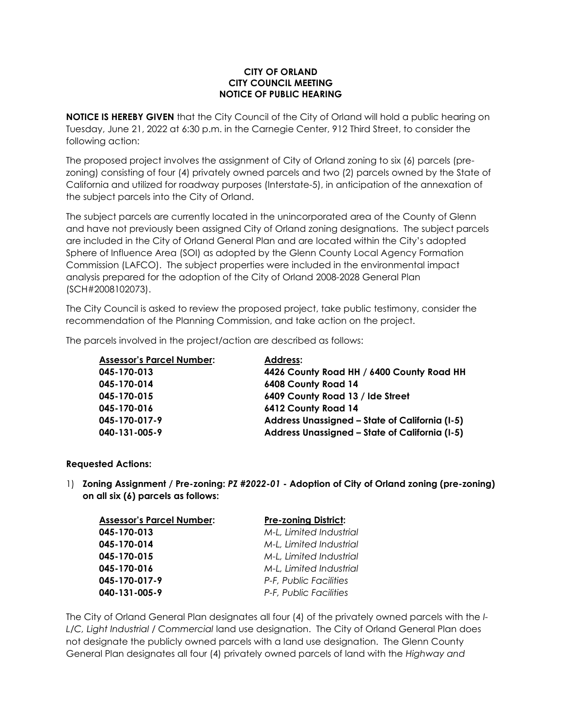## **CITY OF ORLAND CITY COUNCIL MEETING NOTICE OF PUBLIC HEARING**

**NOTICE IS HEREBY GIVEN** that the City Council of the City of Orland will hold a public hearing on Tuesday, June 21, 2022 at 6:30 p.m. in the Carnegie Center, 912 Third Street, to consider the following action:

The proposed project involves the assignment of City of Orland zoning to six (6) parcels (prezoning) consisting of four (4) privately owned parcels and two (2) parcels owned by the State of California and utilized for roadway purposes (Interstate-5), in anticipation of the annexation of the subject parcels into the City of Orland.

The subject parcels are currently located in the unincorporated area of the County of Glenn and have not previously been assigned City of Orland zoning designations. The subject parcels are included in the City of Orland General Plan and are located within the City's adopted Sphere of Influence Area (SOI) as adopted by the Glenn County Local Agency Formation Commission (LAFCO). The subject properties were included in the environmental impact analysis prepared for the adoption of the City of Orland 2008-2028 General Plan (SCH#2008102073).

The City Council is asked to review the proposed project, take public testimony, consider the recommendation of the Planning Commission, and take action on the project.

The parcels involved in the project/action are described as follows:

| <b>Assessor's Parcel Number:</b> | <b>Address:</b>                                |
|----------------------------------|------------------------------------------------|
| 045-170-013                      | 4426 County Road HH / 6400 County Road HH      |
| 045-170-014                      | 6408 County Road 14                            |
| 045-170-015                      | 6409 County Road 13 / Ide Street               |
| 045-170-016                      | 6412 County Road 14                            |
| 045-170-017-9                    | Address Unassigned - State of California (I-5) |
| 040-131-005-9                    | Address Unassigned - State of California (I-5) |

## **Requested Actions:**

1) **Zoning Assignment / Pre-zoning:** *PZ #2022-01* **- Adoption of City of Orland zoning (pre-zoning) on all six (6) parcels as follows:**

| <b>Assessor's Parcel Number:</b> | <b>Pre-zoning District:</b> |
|----------------------------------|-----------------------------|
| 045-170-013                      | M-L, Limited Industrial     |
| 045-170-014                      | M-L, Limited Industrial     |
| 045-170-015                      | M-L, Limited Industrial     |
| 045-170-016                      | M-L, Limited Industrial     |
| 045-170-017-9                    | P-F, Public Facilities      |
| 040-131-005-9                    | P-F, Public Facilities      |

The City of Orland General Plan designates all four (4) of the privately owned parcels with the *I-L/C, Light Industrial / Commercial* land use designation. The City of Orland General Plan does not designate the publicly owned parcels with a land use designation. The Glenn County General Plan designates all four (4) privately owned parcels of land with the *Highway and*